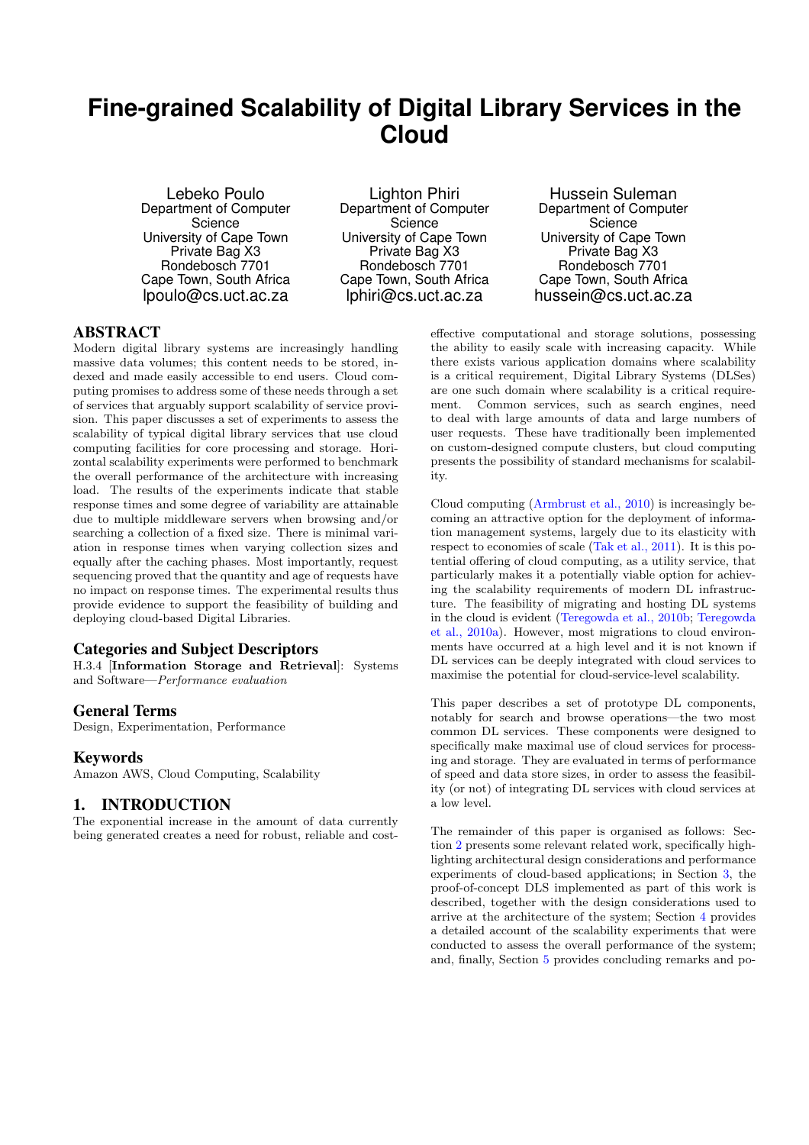# **Fine-grained Scalability of Digital Library Services in the Cloud**

Lebeko Poulo Department of Computer **Science** University of Cape Town Private Bag X3 Rondebosch 7701 Cape Town, South Africa lpoulo@cs.uct.ac.za

Lighton Phiri Department of Computer **Science** University of Cape Town Private Bag X3 Rondebosch 7701 Cape Town, South Africa lphiri@cs.uct.ac.za

Hussein Suleman Department of Computer Science University of Cape Town Private Bag X3 Rondebosch 7701 Cape Town, South Africa hussein@cs.uct.ac.za

# ABSTRACT

Modern digital library systems are increasingly handling massive data volumes; this content needs to be stored, indexed and made easily accessible to end users. Cloud computing promises to address some of these needs through a set of services that arguably support scalability of service provision. This paper discusses a set of experiments to assess the scalability of typical digital library services that use cloud computing facilities for core processing and storage. Horizontal scalability experiments were performed to benchmark the overall performance of the architecture with increasing load. The results of the experiments indicate that stable response times and some degree of variability are attainable due to multiple middleware servers when browsing and/or searching a collection of a fixed size. There is minimal variation in response times when varying collection sizes and equally after the caching phases. Most importantly, request sequencing proved that the quantity and age of requests have no impact on response times. The experimental results thus provide evidence to support the feasibility of building and deploying cloud-based Digital Libraries.

## Categories and Subject Descriptors

H.3.4 [Information Storage and Retrieval]: Systems and Software—Performance evaluation

## General Terms

Design, Experimentation, Performance

#### Keywords

Amazon AWS, Cloud Computing, Scalability

## 1. INTRODUCTION

The exponential increase in the amount of data currently being generated creates a need for robust, reliable and cost-

effective computational and storage solutions, possessing the ability to easily scale with increasing capacity. While there exists various application domains where scalability is a critical requirement, Digital Library Systems (DLSes) are one such domain where scalability is a critical requirement. Common services, such as search engines, need to deal with large amounts of data and large numbers of user requests. These have traditionally been implemented on custom-designed compute clusters, but cloud computing presents the possibility of standard mechanisms for scalability.

Cloud computing [\(Armbrust et al., 2010](#page-8-0)) is increasingly becoming an attractive option for the deployment of information management systems, largely due to its elasticity with respect to economies of scale [\(Tak et al., 2011\)](#page-8-0). It is this potential offering of cloud computing, as a utility service, that particularly makes it a potentially viable option for achieving the scalability requirements of modern DL infrastructure. The feasibility of migrating and hosting DL systems in the cloud [is evident](#page-8-0) [\(Teregowda et al., 2010b](#page-9-0)[;](#page-8-0) Teregowda et al., 2010a). However, most migrations to cloud environments have occurred at a high level and it is not known if DL services can be deeply integrated with cloud services to maximise the potential for cloud-service-level scalability.

This paper describes a set of prototype DL components, notably for search and browse operations—the two most common DL services. These components were designed to specifically make maximal use of cloud services for processing and storage. They are evaluated in terms of performance of speed and data store sizes, in order to assess the feasibility (or not) of integrating DL services with cloud services at a low level.

The remainder of this paper is organised as follows: Section [2](#page-1-0) presents some relevant related work, specifically highlighting architectural design considerations and performance experiments of cloud-based applications; in Section [3,](#page-1-0) the proof-of-concept DLS implemented as part of this work is described, together with the design considerations used to arrive at the architecture of the system; Section [4](#page-3-0) provides a detailed account of the scalability experiments that were conducted to assess the overall performance of the system; and, finally, Section [5](#page-6-0) provides concluding remarks and po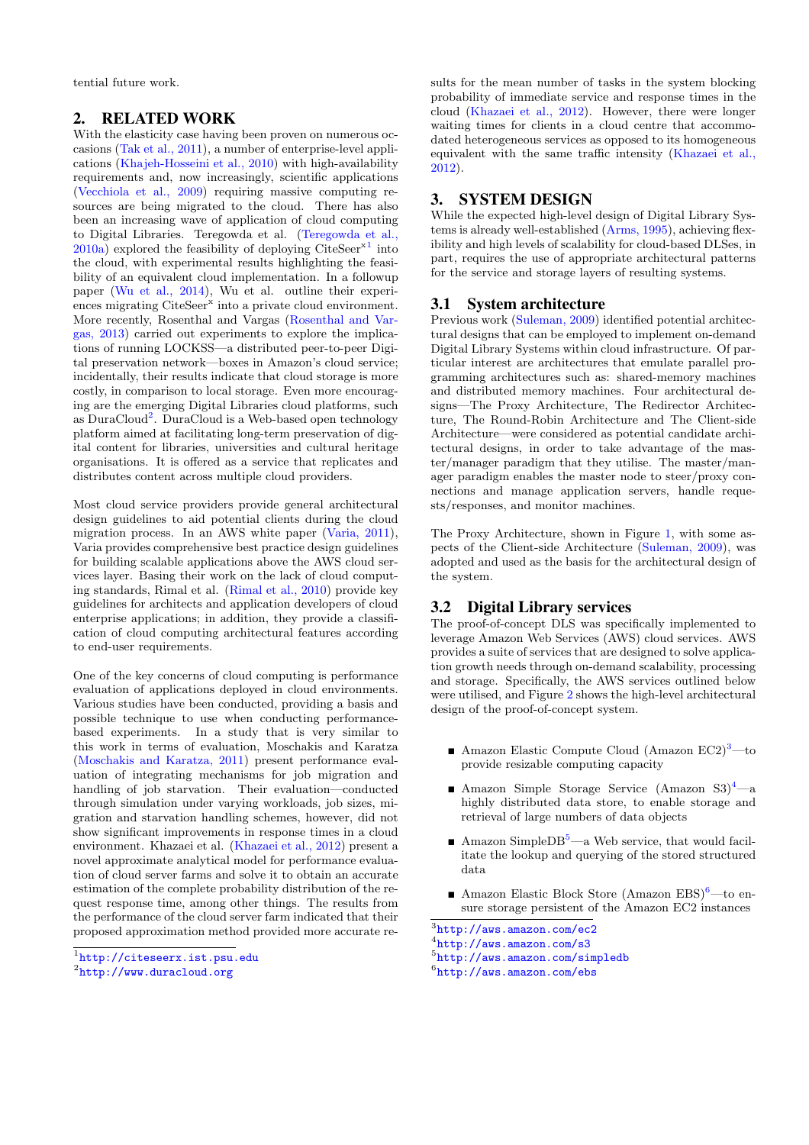<span id="page-1-0"></span>tential future work.

## 2. RELATED WORK

With the elasticity case having been proven on numerous occasions [\(Tak et al., 2011](#page-8-0)), a number of enterprise-level applications [\(Khajeh-Hosseini et al., 2010](#page-8-0)) with high-availability requirements and, now increasingly, scientific applications [\(Vecchiola et al., 2009](#page-9-0)) requiring massive computing resources are being migrated to the cloud. There has also been an increasing wave of application of cloud computing to Di[gital Libraries. Teregowda et al. \(](#page-8-0)Teregowda et al.,  $2010a$ ) explored the feasibility of deploying CiteSeer<sup>x1</sup> into the cloud, with experimental results highlighting the feasibility of an equivalent cloud implementation. In a followup paper [\(Wu et al., 2014\)](#page-9-0), Wu et al. outline their experi- $\overline{\text{e} \cdot \text{e}}$  migrating CiteSeer<sup>x</sup> into a private cloud environment. More rec[ently, Rosenthal and Vargas \(](#page-8-0)Rosenthal and Vargas, 2013) carried out experiments to explore the implications of running LOCKSS—a distributed peer-to-peer Digital preservation network—boxes in Amazon's cloud service; incidentally, their results indicate that cloud storage is more costly, in comparison to local storage. Even more encouraging are the emerging Digital Libraries cloud platforms, such as DuraCloud<sup>2</sup>. DuraCloud is a Web-based open technology platform aimed at facilitating long-term preservation of digital content for libraries, universities and cultural heritage organisations. It is offered as a service that replicates and distributes content across multiple cloud providers.

Most cloud service providers provide general architectural design guidelines to aid potential clients during the cloud migration process. In an AWS white paper [\(Varia, 2011\)](#page-9-0), Varia provides comprehensive best practice design guidelines for building scalable applications above the AWS cloud services layer. Basing their work on the lack of cloud computing standards, Rimal et al. [\(Rimal et al., 2010](#page-8-0)) provide key guidelines for architects and application developers of cloud enterprise applications; in addition, they provide a classification of cloud computing architectural features according to end-user requirements.

One of the key concerns of cloud computing is performance evaluation of applications deployed in cloud environments. Various studies have been conducted, providing a basis and possible technique to use when conducting performancebased experiments. In a study that is very similar to this work in terms of evaluation, Moschakis and Karatza [\(Moschakis and Karatza, 2011\)](#page-8-0) present performance evaluation of integrating mechanisms for job migration and handling of job starvation. Their evaluation—conducted through simulation under varying workloads, job sizes, migration and starvation handling schemes, however, did not show significant improvements in response times in a cloud environment. Khazaei et al. [\(Khazaei et al., 2012\)](#page-8-0) present a novel approximate analytical model for performance evaluation of cloud server farms and solve it to obtain an accurate estimation of the complete probability distribution of the request response time, among other things. The results from the performance of the cloud server farm indicated that their proposed approximation method provided more accurate re-

sults for the mean number of tasks in the system blocking probability of immediate service and response times in the cloud [\(Khazaei et al., 2012\)](#page-8-0). However, there were longer waiting times for clients in a cloud centre that accommodated heterogeneous services as opposed to its homogeneous equi[valent with the same traffic intensity \(](#page-8-0)Khazaei et al., 2012).

## 3. SYSTEM DESIGN

While the expected high-level design of Digital Library Systems is already well-established [\(Arms, 1995](#page-8-0)), achieving flexibility and high levels of scalability for cloud-based DLSes, in part, requires the use of appropriate architectural patterns for the service and storage layers of resulting systems.

#### 3.1 System architecture

Previous work [\(Suleman, 2009](#page-8-0)) identified potential architectural designs that can be employed to implement on-demand Digital Library Systems within cloud infrastructure. Of particular interest are architectures that emulate parallel programming architectures such as: shared-memory machines and distributed memory machines. Four architectural designs—The Proxy Architecture, The Redirector Architecture, The Round-Robin Architecture and The Client-side Architecture—were considered as potential candidate architectural designs, in order to take advantage of the master/manager paradigm that they utilise. The master/manager paradigm enables the master node to steer/proxy connections and manage application servers, handle requests/responses, and monitor machines.

The Proxy Architecture, shown in Figure [1,](#page-2-0) with some aspects of the Client-side Architecture [\(Suleman, 2009](#page-8-0)), was adopted and used as the basis for the architectural design of the system.

## 3.2 Digital Library services

The proof-of-concept DLS was specifically implemented to leverage Amazon Web Services (AWS) cloud services. AWS provides a suite of services that are designed to solve application growth needs through on-demand scalability, processing and storage. Specifically, the AWS services outlined below were utilised, and Figure [2](#page-2-0) shows the high-level architectural design of the proof-of-concept system.

- Amazon Elastic Compute Cloud (Amazon EC2)<sup>3</sup>—to provide resizable computing capacity
- Amazon Simple Storage Service  $(Amazon S3)^4$ —a highly distributed data store, to enable storage and retrieval of large numbers of data objects
- Amazon Simple $DB^5$ —a Web service, that would facilitate the lookup and querying of the stored structured data
- Amazon Elastic Block Store (Amazon EBS)<sup>6</sup>—to ensure storage persistent of the Amazon EC2 instances

<sup>1</sup> <http://citeseerx.ist.psu.edu>

<sup>2</sup> <http://www.duracloud.org>

 $^3$ http://aws.amazon.com/ec $2$ 

<sup>4</sup> <http://aws.amazon.com/s3>

<sup>5</sup> <http://aws.amazon.com/simpledb>

<sup>6</sup> <http://aws.amazon.com/ebs>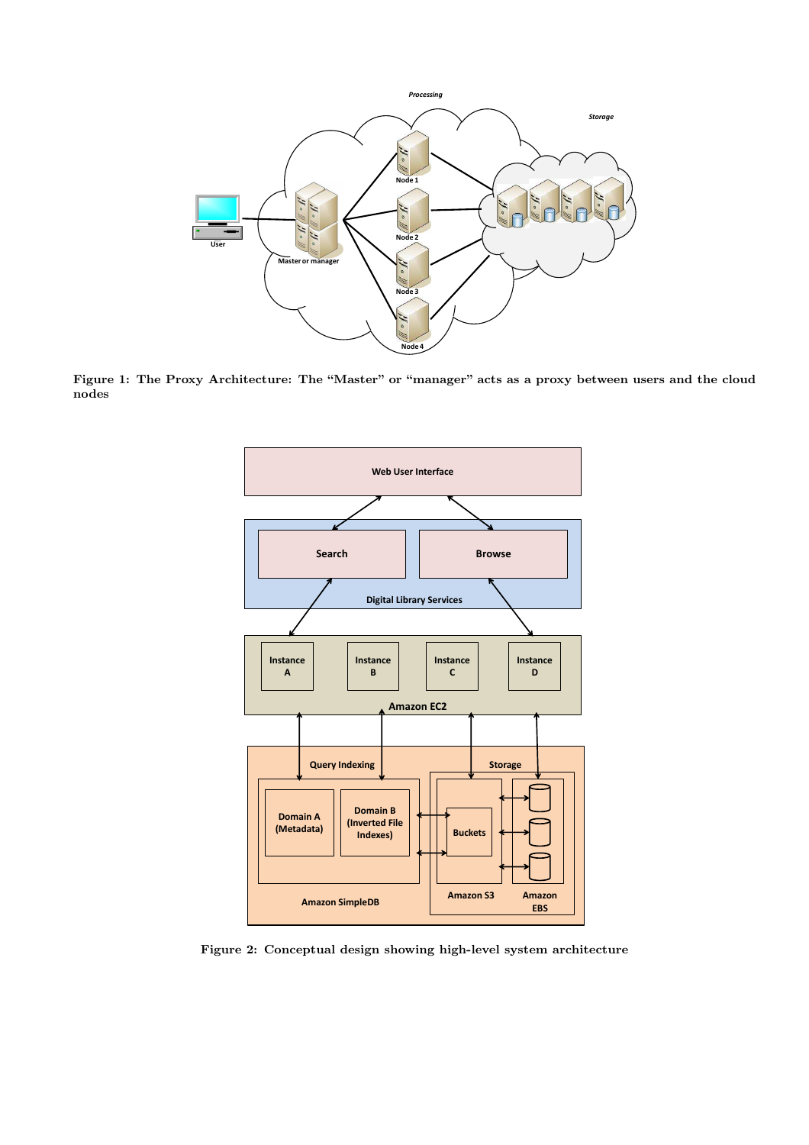<span id="page-2-0"></span>

Figure 1: The Proxy Architecture: The "Master" or "manager" acts as a proxy between users and the cloud nodes



Figure 2: Conceptual design showing high-level system architecture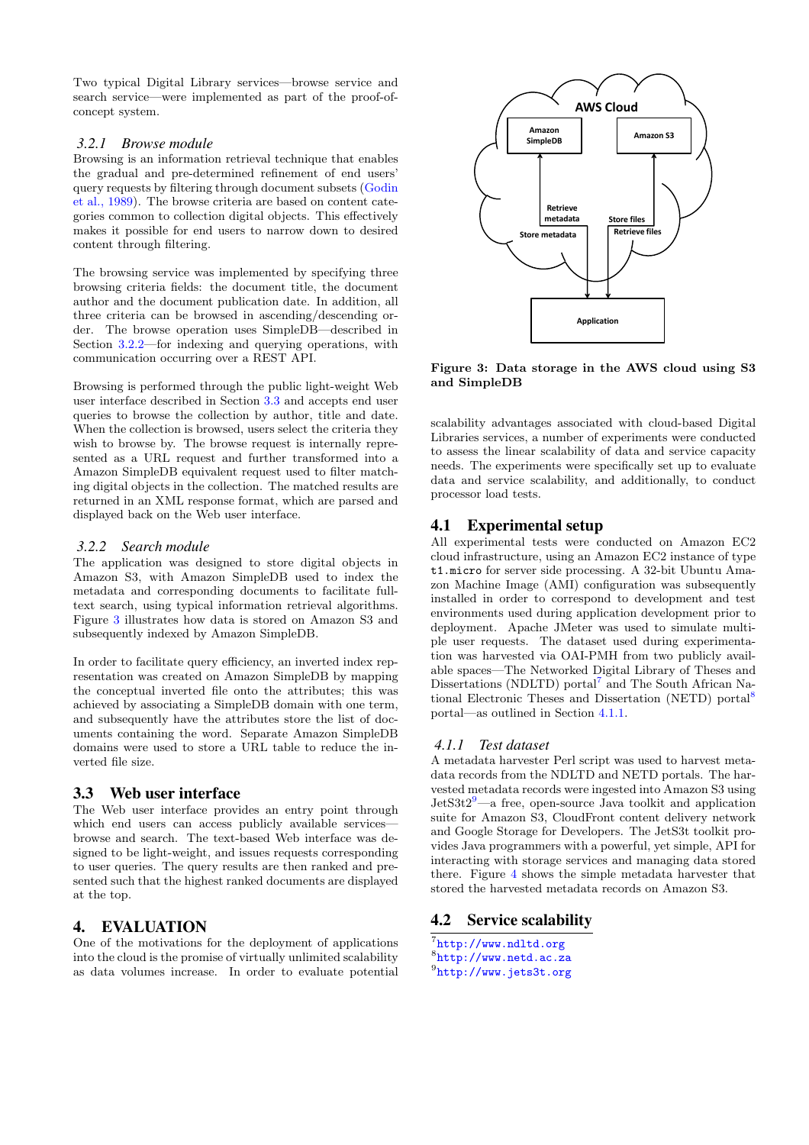<span id="page-3-0"></span>Two typical Digital Library services—browse service and search service—were implemented as part of the proof-ofconcept system.

## *3.2.1 Browse module*

Browsing is an information retrieval technique that enables the gradual and pre-determined refinement of end users' query requ[ests by filtering through document subsets \(](#page-8-0)Godin et al., 1989). The browse criteria are based on content categories common to collection digital objects. This effectively makes it possible for end users to narrow down to desired content through filtering.

The browsing service was implemented by specifying three browsing criteria fields: the document title, the document author and the document publication date. In addition, all three criteria can be browsed in ascending/descending order. The browse operation uses SimpleDB—described in Section 3.2.2—for indexing and querying operations, with communication occurring over a REST API.

Browsing is performed through the public light-weight Web user interface described in Section 3.3 and accepts end user queries to browse the collection by author, title and date. When the collection is browsed, users select the criteria they wish to browse by. The browse request is internally represented as a URL request and further transformed into a Amazon SimpleDB equivalent request used to filter matching digital objects in the collection. The matched results are returned in an XML response format, which are parsed and displayed back on the Web user interface.

## *3.2.2 Search module*

The application was designed to store digital objects in Amazon S3, with Amazon SimpleDB used to index the metadata and corresponding documents to facilitate fulltext search, using typical information retrieval algorithms. Figure 3 illustrates how data is stored on Amazon S3 and subsequently indexed by Amazon SimpleDB.

In order to facilitate query efficiency, an inverted index representation was created on Amazon SimpleDB by mapping the conceptual inverted file onto the attributes; this was achieved by associating a SimpleDB domain with one term, and subsequently have the attributes store the list of documents containing the word. Separate Amazon SimpleDB domains were used to store a URL table to reduce the inverted file size.

## 3.3 Web user interface

The Web user interface provides an entry point through which end users can access publicly available servicesbrowse and search. The text-based Web interface was designed to be light-weight, and issues requests corresponding to user queries. The query results are then ranked and presented such that the highest ranked documents are displayed at the top.

# 4. EVALUATION

One of the motivations for the deployment of applications into the cloud is the promise of virtually unlimited scalability as data volumes increase. In order to evaluate potential



Figure 3: Data storage in the AWS cloud using S3 and SimpleDB

scalability advantages associated with cloud-based Digital Libraries services, a number of experiments were conducted to assess the linear scalability of data and service capacity needs. The experiments were specifically set up to evaluate data and service scalability, and additionally, to conduct processor load tests.

# 4.1 Experimental setup

All experimental tests were conducted on Amazon EC2 cloud infrastructure, using an Amazon EC2 instance of type t1.micro for server side processing. A 32-bit Ubuntu Amazon Machine Image (AMI) configuration was subsequently installed in order to correspond to development and test environments used during application development prior to deployment. Apache JMeter was used to simulate multiple user requests. The dataset used during experimentation was harvested via OAI-PMH from two publicly available spaces—The Networked Digital Library of Theses and Dissertations (NDLTD) portal<sup>7</sup> and The South African National Electronic Theses and Dissertation (NETD) portal<sup>8</sup> portal—as outlined in Section 4.1.1.

## *4.1.1 Test dataset*

A metadata harvester Perl script was used to harvest metadata records from the NDLTD and NETD portals. The harvested metadata records were ingested into Amazon S3 using  $Jets3t2<sup>9</sup>$ —a free, open-source Java toolkit and application suite for Amazon S3, CloudFront content delivery network and Google Storage for Developers. The JetS3t toolkit provides Java programmers with a powerful, yet simple, API for interacting with storage services and managing data stored there. Figure [4](#page-4-0) shows the simple metadata harvester that stored the harvested metadata records on Amazon S3.

# 4.2 Service scalability

<sup>7</sup><http://www.ndltd.org> 8 <http://www.netd.ac.za> <sup>9</sup><http://www.jets3t.org>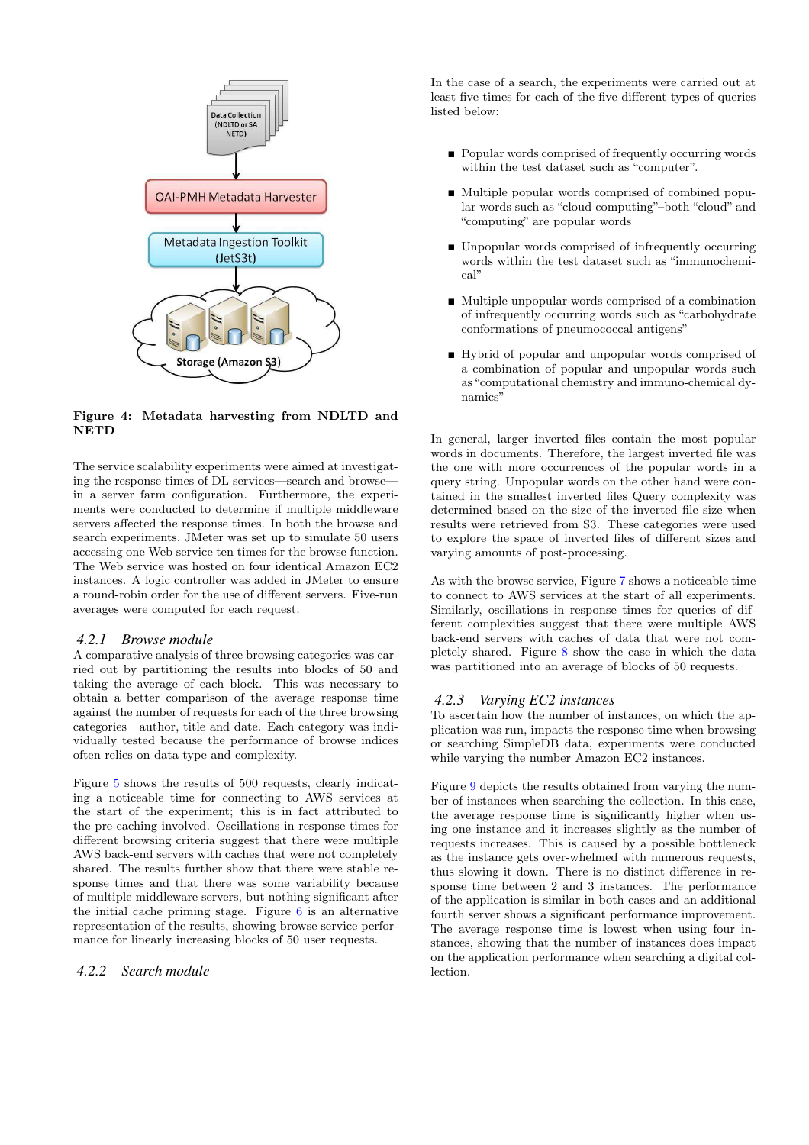<span id="page-4-0"></span>

Figure 4: Metadata harvesting from NDLTD and **NETD** 

The service scalability experiments were aimed at investigating the response times of DL services—search and browse in a server farm configuration. Furthermore, the experiments were conducted to determine if multiple middleware servers affected the response times. In both the browse and search experiments, JMeter was set up to simulate 50 users accessing one Web service ten times for the browse function. The Web service was hosted on four identical Amazon EC2 instances. A logic controller was added in JMeter to ensure a round-robin order for the use of different servers. Five-run averages were computed for each request.

#### *4.2.1 Browse module*

A comparative analysis of three browsing categories was carried out by partitioning the results into blocks of 50 and taking the average of each block. This was necessary to obtain a better comparison of the average response time against the number of requests for each of the three browsing categories—author, title and date. Each category was individually tested because the performance of browse indices often relies on data type and complexity.

Figure [5](#page-5-0) shows the results of 500 requests, clearly indicating a noticeable time for connecting to AWS services at the start of the experiment; this is in fact attributed to the pre-caching involved. Oscillations in response times for different browsing criteria suggest that there were multiple AWS back-end servers with caches that were not completely shared. The results further show that there were stable response times and that there was some variability because of multiple middleware servers, but nothing significant after the initial cache priming stage. Figure [6](#page-5-0) is an alternative representation of the results, showing browse service performance for linearly increasing blocks of 50 user requests.

#### *4.2.2 Search module*

In the case of a search, the experiments were carried out at least five times for each of the five different types of queries listed below:

- Popular words comprised of frequently occurring words within the test dataset such as "computer".
- Multiple popular words comprised of combined popular words such as "cloud computing"–both "cloud" and "computing" are popular words
- Unpopular words comprised of infrequently occurring words within the test dataset such as "immunochemical"
- Multiple unpopular words comprised of a combination of infrequently occurring words such as "carbohydrate conformations of pneumococcal antigens"
- Hybrid of popular and unpopular words comprised of a combination of popular and unpopular words such as "computational chemistry and immuno-chemical dynamics"

In general, larger inverted files contain the most popular words in documents. Therefore, the largest inverted file was the one with more occurrences of the popular words in a query string. Unpopular words on the other hand were contained in the smallest inverted files Query complexity was determined based on the size of the inverted file size when results were retrieved from S3. These categories were used to explore the space of inverted files of different sizes and varying amounts of post-processing.

As with the browse service, Figure [7](#page-5-0) shows a noticeable time to connect to AWS services at the start of all experiments. Similarly, oscillations in response times for queries of different complexities suggest that there were multiple AWS back-end servers with caches of data that were not completely shared. Figure [8](#page-5-0) show the case in which the data was partitioned into an average of blocks of 50 requests.

#### *4.2.3 Varying EC2 instances*

To ascertain how the number of instances, on which the application was run, impacts the response time when browsing or searching SimpleDB data, experiments were conducted while varying the number Amazon EC2 instances.

Figure [9](#page-7-0) depicts the results obtained from varying the number of instances when searching the collection. In this case, the average response time is significantly higher when using one instance and it increases slightly as the number of requests increases. This is caused by a possible bottleneck as the instance gets over-whelmed with numerous requests, thus slowing it down. There is no distinct difference in response time between 2 and 3 instances. The performance of the application is similar in both cases and an additional fourth server shows a significant performance improvement. The average response time is lowest when using four instances, showing that the number of instances does impact on the application performance when searching a digital collection.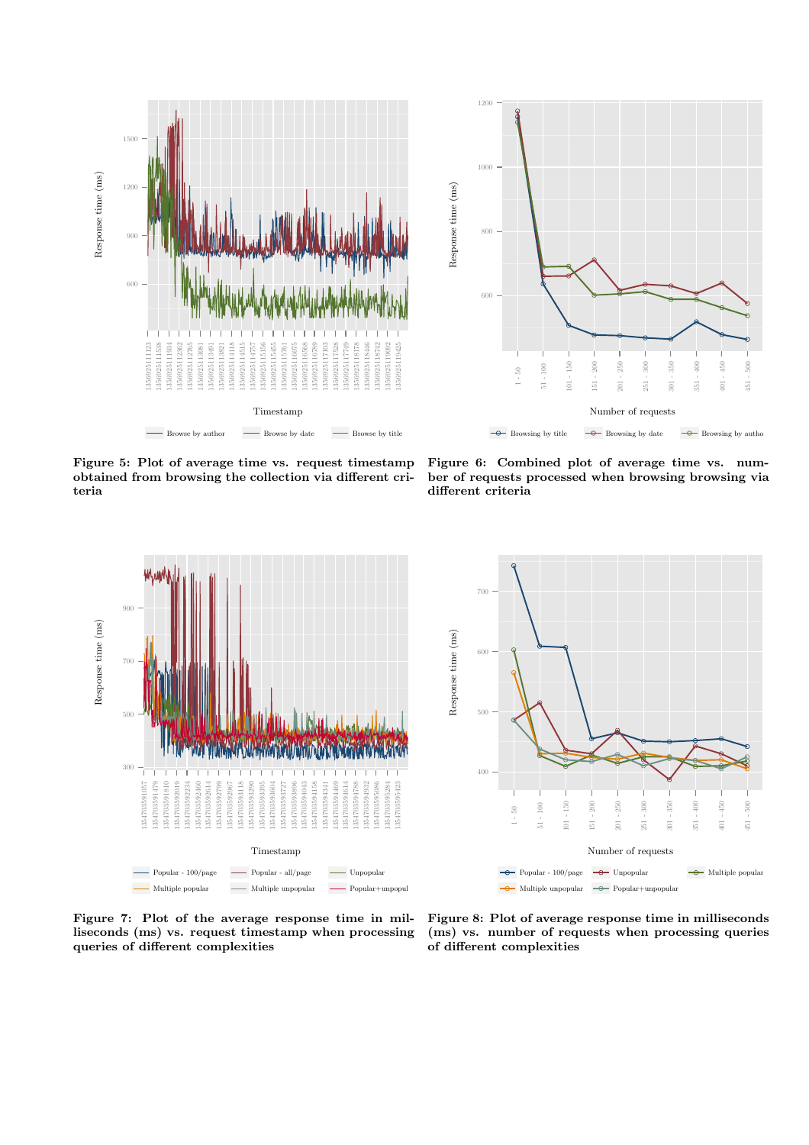<span id="page-5-0"></span>



Figure 5: Plot of average time vs. request timestamp obtained from browsing the collection via different criteria

Figure 6: Combined plot of average time vs. number of requests processed when browsing browsing via different criteria





Figure 7: Plot of the average response time in milliseconds (ms) vs. request timestamp when processing queries of different complexities

Figure 8: Plot of average response time in milliseconds (ms) vs. number of requests when processing queries of different complexities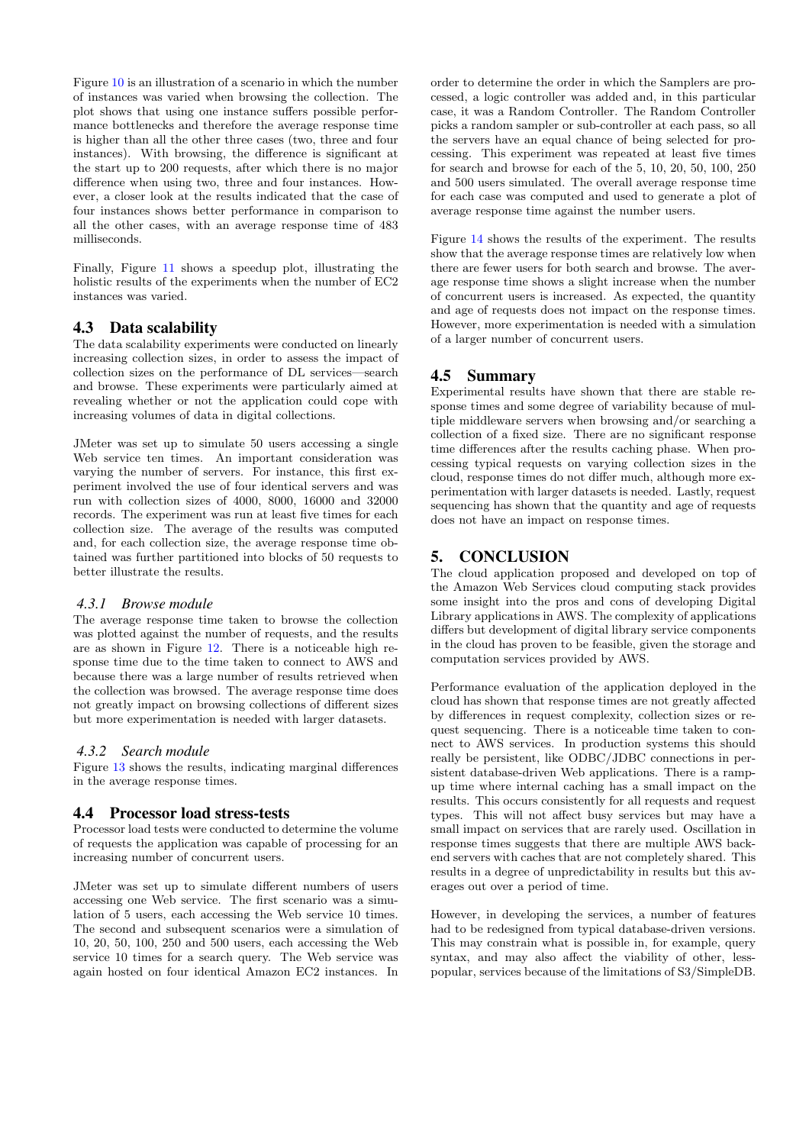<span id="page-6-0"></span>Figure [10](#page-7-0) is an illustration of a scenario in which the number of instances was varied when browsing the collection. The plot shows that using one instance suffers possible performance bottlenecks and therefore the average response time is higher than all the other three cases (two, three and four instances). With browsing, the difference is significant at the start up to 200 requests, after which there is no major difference when using two, three and four instances. However, a closer look at the results indicated that the case of four instances shows better performance in comparison to all the other cases, with an average response time of 483 milliseconds.

Finally, Figure [11](#page-7-0) shows a speedup plot, illustrating the holistic results of the experiments when the number of EC2 instances was varied.

# 4.3 Data scalability

The data scalability experiments were conducted on linearly increasing collection sizes, in order to assess the impact of collection sizes on the performance of DL services—search and browse. These experiments were particularly aimed at revealing whether or not the application could cope with increasing volumes of data in digital collections.

JMeter was set up to simulate 50 users accessing a single Web service ten times. An important consideration was varying the number of servers. For instance, this first experiment involved the use of four identical servers and was run with collection sizes of 4000, 8000, 16000 and 32000 records. The experiment was run at least five times for each collection size. The average of the results was computed and, for each collection size, the average response time obtained was further partitioned into blocks of 50 requests to better illustrate the results.

#### *4.3.1 Browse module*

The average response time taken to browse the collection was plotted against the number of requests, and the results are as shown in Figure [12.](#page-7-0) There is a noticeable high response time due to the time taken to connect to AWS and because there was a large number of results retrieved when the collection was browsed. The average response time does not greatly impact on browsing collections of different sizes but more experimentation is needed with larger datasets.

#### *4.3.2 Search module*

Figure [13](#page-8-0) shows the results, indicating marginal differences in the average response times.

#### 4.4 Processor load stress-tests

Processor load tests were conducted to determine the volume of requests the application was capable of processing for an increasing number of concurrent users.

JMeter was set up to simulate different numbers of users accessing one Web service. The first scenario was a simulation of 5 users, each accessing the Web service 10 times. The second and subsequent scenarios were a simulation of 10, 20, 50, 100, 250 and 500 users, each accessing the Web service 10 times for a search query. The Web service was again hosted on four identical Amazon EC2 instances. In

order to determine the order in which the Samplers are processed, a logic controller was added and, in this particular case, it was a Random Controller. The Random Controller picks a random sampler or sub-controller at each pass, so all the servers have an equal chance of being selected for processing. This experiment was repeated at least five times for search and browse for each of the 5, 10, 20, 50, 100, 250 and 500 users simulated. The overall average response time for each case was computed and used to generate a plot of average response time against the number users.

Figure [14](#page-8-0) shows the results of the experiment. The results show that the average response times are relatively low when there are fewer users for both search and browse. The average response time shows a slight increase when the number of concurrent users is increased. As expected, the quantity and age of requests does not impact on the response times. However, more experimentation is needed with a simulation of a larger number of concurrent users.

## 4.5 Summary

Experimental results have shown that there are stable response times and some degree of variability because of multiple middleware servers when browsing and/or searching a collection of a fixed size. There are no significant response time differences after the results caching phase. When processing typical requests on varying collection sizes in the cloud, response times do not differ much, although more experimentation with larger datasets is needed. Lastly, request sequencing has shown that the quantity and age of requests does not have an impact on response times.

# 5. CONCLUSION

The cloud application proposed and developed on top of the Amazon Web Services cloud computing stack provides some insight into the pros and cons of developing Digital Library applications in AWS. The complexity of applications differs but development of digital library service components in the cloud has proven to be feasible, given the storage and computation services provided by AWS.

Performance evaluation of the application deployed in the cloud has shown that response times are not greatly affected by differences in request complexity, collection sizes or request sequencing. There is a noticeable time taken to connect to AWS services. In production systems this should really be persistent, like ODBC/JDBC connections in persistent database-driven Web applications. There is a rampup time where internal caching has a small impact on the results. This occurs consistently for all requests and request types. This will not affect busy services but may have a small impact on services that are rarely used. Oscillation in response times suggests that there are multiple AWS backend servers with caches that are not completely shared. This results in a degree of unpredictability in results but this averages out over a period of time.

However, in developing the services, a number of features had to be redesigned from typical database-driven versions. This may constrain what is possible in, for example, query syntax, and may also affect the viability of other, lesspopular, services because of the limitations of S3/SimpleDB.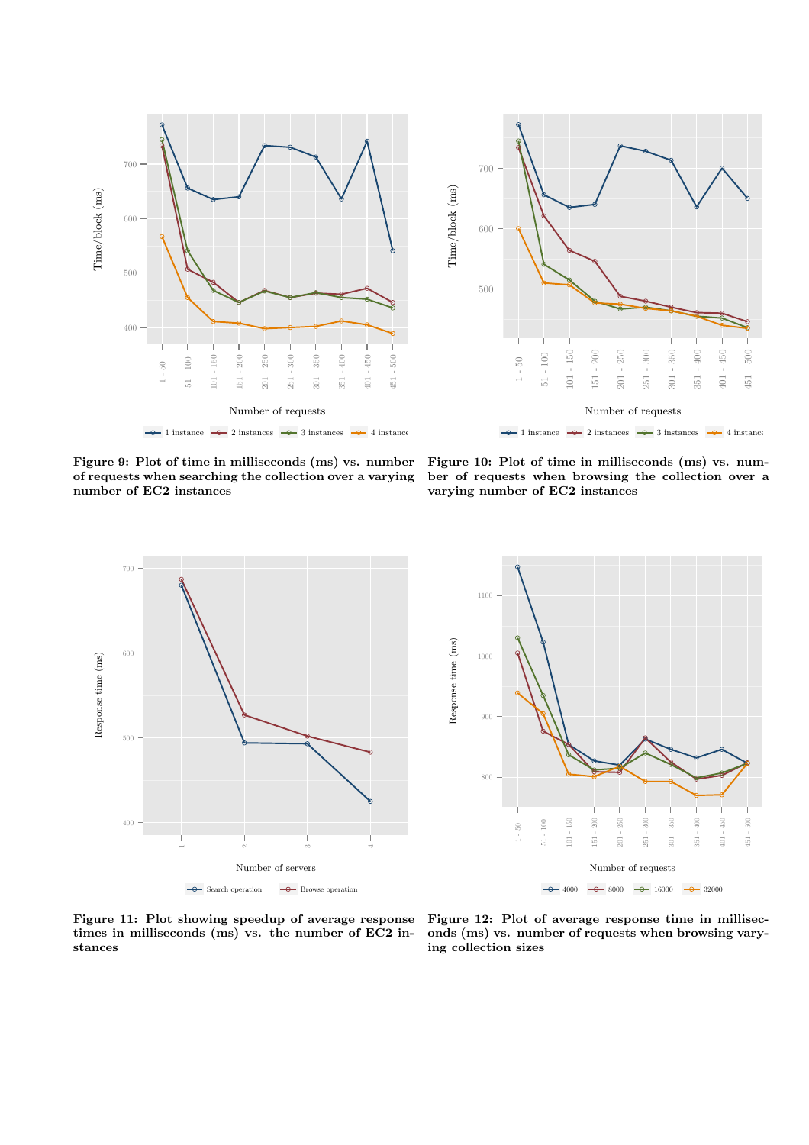<span id="page-7-0"></span>

Figure 9: Plot of time in milliseconds (ms) vs. number of requests when searching the collection over a varying number of EC2 instances

Figure 10: Plot of time in milliseconds (ms) vs. number of requests when browsing the collection over a varying number of EC2 instances





Figure 11: Plot showing speedup of average response times in milliseconds (ms) vs. the number of EC2 instances

Figure 12: Plot of average response time in milliseconds (ms) vs. number of requests when browsing varying collection sizes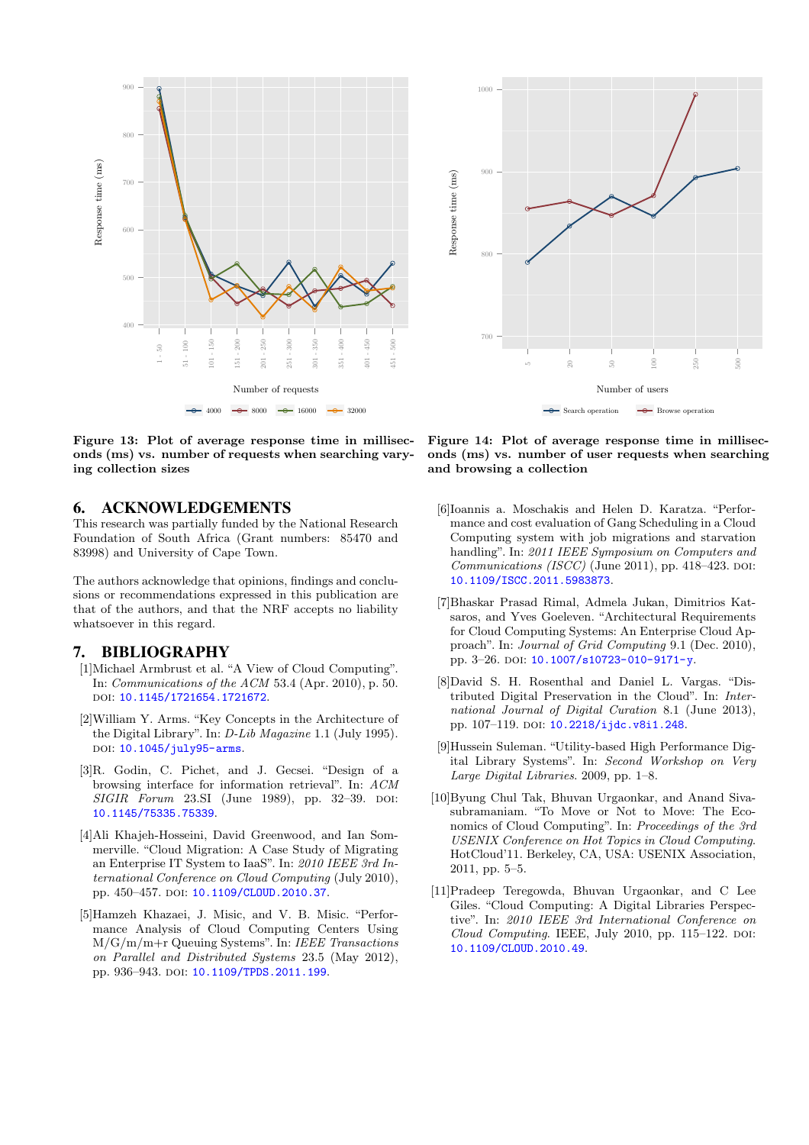<span id="page-8-0"></span>

1000 900 Response time (ms) Response time (ms) 800 700 50 100  $\alpha$ 250 500 Number of users Search operation  $\longrightarrow$  Browse operation

Figure 13: Plot of average response time in milliseconds (ms) vs. number of requests when searching varying collection sizes

## 6. ACKNOWLEDGEMENTS

This research was partially funded by the National Research Foundation of South Africa (Grant numbers: 85470 and 83998) and University of Cape Town.

The authors acknowledge that opinions, findings and conclusions or recommendations expressed in this publication are that of the authors, and that the NRF accepts no liability whatsoever in this regard.

#### 7. BIBLIOGRAPHY

- [1]Michael Armbrust et al. "A View of Cloud Computing". In: Communications of the ACM 53.4 (Apr. 2010), p. 50. doi: [10.1145/1721654.1721672](http://dx.doi.org/10.1145/1721654.1721672).
- [2]William Y. Arms. "Key Concepts in the Architecture of the Digital Library". In: D-Lib Magazine 1.1 (July 1995). DOI: [10.1045/july95-arms](http://dx.doi.org/10.1045/july95-arms).
- [3]R. Godin, C. Pichet, and J. Gecsei. "Design of a browsing interface for information retrieval". In: ACM  $SIGIR$  Forum 23.SI (June 1989), pp. 32-39. doi: [10.1145/75335.75339](http://dx.doi.org/10.1145/75335.75339).
- [4]Ali Khajeh-Hosseini, David Greenwood, and Ian Sommerville. "Cloud Migration: A Case Study of Migrating an Enterprise IT System to IaaS". In: 2010 IEEE 3rd International Conference on Cloud Computing (July 2010), pp. 450-457. doi: [10.1109/CLOUD.2010.37](http://dx.doi.org/10.1109/CLOUD.2010.37).
- [5]Hamzeh Khazaei, J. Misic, and V. B. Misic. "Performance Analysis of Cloud Computing Centers Using M/G/m/m+r Queuing Systems". In: IEEE Transactions on Parallel and Distributed Systems 23.5 (May 2012), pp. 936-943. doi: [10.1109/TPDS.2011.199](http://dx.doi.org/10.1109/TPDS.2011.199).

Figure 14: Plot of average response time in milliseconds (ms) vs. number of user requests when searching and browsing a collection

- [6]Ioannis a. Moschakis and Helen D. Karatza. "Performance and cost evaluation of Gang Scheduling in a Cloud Computing system with job migrations and starvation handling". In: 2011 IEEE Symposium on Computers and  $Communications (ISCC)$  (June 2011), pp. 418–423. doi: [10.1109/ISCC.2011.5983873](http://dx.doi.org/10.1109/ISCC.2011.5983873).
- [7]Bhaskar Prasad Rimal, Admela Jukan, Dimitrios Katsaros, and Yves Goeleven. "Architectural Requirements for Cloud Computing Systems: An Enterprise Cloud Approach". In: Journal of Grid Computing 9.1 (Dec. 2010), pp. 3–26. doi: [10.1007/s10723-010-9171-y](http://dx.doi.org/10.1007/s10723-010-9171-y).
- [8]David S. H. Rosenthal and Daniel L. Vargas. "Distributed Digital Preservation in the Cloud". In: International Journal of Digital Curation 8.1 (June 2013), pp. 107-119. doi: [10.2218/ijdc.v8i1.248](http://dx.doi.org/10.2218/ijdc.v8i1.248).
- [9]Hussein Suleman. "Utility-based High Performance Digital Library Systems". In: Second Workshop on Very Large Digital Libraries. 2009, pp. 1–8.
- [10]Byung Chul Tak, Bhuvan Urgaonkar, and Anand Sivasubramaniam. "To Move or Not to Move: The Economics of Cloud Computing". In: Proceedings of the 3rd USENIX Conference on Hot Topics in Cloud Computing. HotCloud'11. Berkeley, CA, USA: USENIX Association, 2011, pp. 5–5.
- [11]Pradeep Teregowda, Bhuvan Urgaonkar, and C Lee Giles. "Cloud Computing: A Digital Libraries Perspective". In: 2010 IEEE 3rd International Conference on  $Cloud$   $Computing$ . IEEE, July 2010, pp. 115-122. poi: [10.1109/CLOUD.2010.49](http://dx.doi.org/10.1109/CLOUD.2010.49).